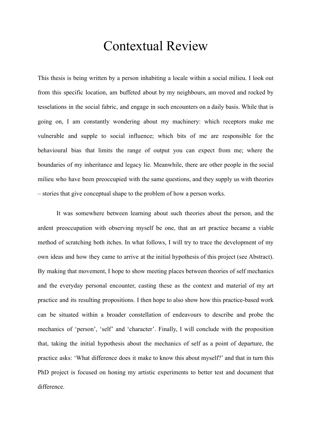# Contextual Review

This thesis is being written by a person inhabiting a locale within a social milieu. I look out from this specific location, am buffeted about by my neighbours, am moved and rocked by tesselations in the social fabric, and engage in such encounters on a daily basis. While that is going on, I am constantly wondering about my machinery: which receptors make me vulnerable and supple to social influence; which bits of me are responsible for the behavioural bias that limits the range of output you can expect from me; where the boundaries of my inheritance and legacy lie. Meanwhile, there are other people in the social milieu who have been preoccupied with the same questions, and they supply us with theories – stories that give conceptual shape to the problem of how a person works.

It was somewhere between learning about such theories about the person, and the ardent preoccupation with observing myself be one, that an art practice became a viable method of scratching both itches. In what follows, I will try to trace the development of my own ideas and how they came to arrive at the initial hypothesis of this project (see Abstract). By making that movement, I hope to show meeting places between theories of self mechanics and the everyday personal encounter, casting these as the context and material of my art practice and its resulting propositions. I then hope to also show how this practice-based work can be situated within a broader constellation of endeavours to describe and probe the mechanics of 'person', 'self' and 'character'. Finally, I will conclude with the proposition that, taking the initial hypothesis about the mechanics of self as a point of departure, the practice asks: 'What difference does it make to know this about myself?' and that in turn this PhD project is focused on honing my artistic experiments to better test and document that difference.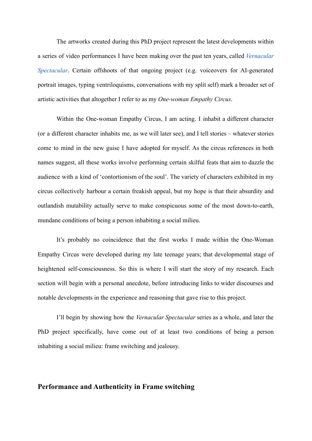The artworks created during this PhD project represent the latest developments within a series of video performances I have been making over the past ten years, called *[Vernacular](https://www.katarinarankovic.art/vernacular-spectacular) [Spectacular](https://www.katarinarankovic.art/vernacular-spectacular)*. Certain offshoots of that ongoing project (e.g. voiceovers for AI-generated portrait images, typing ventriloquisms, conversations with my split self) mark a broader set of artistic activities that altogether I refer to as my *One-woman Empathy Circus*.

Within the One-woman Empathy Circus, I am acting. I inhabit a different character (or a different character inhabits me, as we will later see), and I tell stories – whatever stories come to mind in the new guise I have adopted for myself. As the circus references in both names suggest, all these works involve performing certain skilful feats that aim to dazzle the audience with a kind of 'contortionism of the soul'. The variety of characters exhibited in my circus collectively harbour a certain freakish appeal, but my hope is that their absurdity and outlandish mutability actually serve to make conspicuous some of the most down-to-earth, mundane conditions of being a person inhabiting a social milieu.

It's probably no coincidence that the first works I made within the One-Woman Empathy Circus were developed during my late teenage years; that developmental stage of heightened self-consciousness. So this is where I will start the story of my research. Each section will begin with a personal anecdote, before introducing links to wider discourses and notable developments in the experience and reasoning that gave rise to this project.

I'll begin by showing how the *Vernacular Spectacular* series as a whole, and later the PhD project specifically, have come out of at least two conditions of being a person inhabiting a social milieu: frame switching and jealousy.

### **Performance and Authenticity in Frame switching**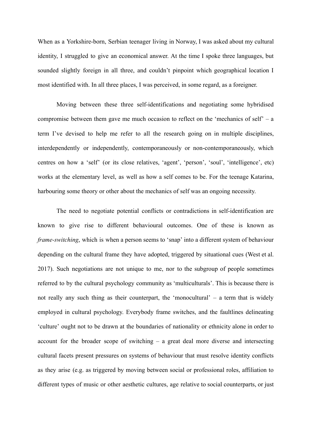When as a Yorkshire-born, Serbian teenager living in Norway, I was asked about my cultural identity, I struggled to give an economical answer. At the time I spoke three languages, but sounded slightly foreign in all three, and couldn't pinpoint which geographical location I most identified with. In all three places, I was perceived, in some regard, as a foreigner.

Moving between these three self-identifications and negotiating some hybridised compromise between them gave me much occasion to reflect on the 'mechanics of self' – a term I've devised to help me refer to all the research going on in multiple disciplines, interdependently or independently, contemporaneously or non-contemporaneously, which centres on how a 'self' (or its close relatives, 'agent', 'person', 'soul', 'intelligence', etc) works at the elementary level, as well as how a self comes to be. For the teenage Katarina, harbouring some theory or other about the mechanics of self was an ongoing necessity.

The need to negotiate potential conflicts or contradictions in self-identification are known to give rise to different behavioural outcomes. One of these is known as *frame-switching*, which is when a person seems to 'snap' into a different system of behaviour depending on the cultural frame they have adopted, triggered by situational cues (West et al. 2017). Such negotiations are not unique to me, nor to the subgroup of people sometimes referred to by the cultural psychology community as 'multiculturals'. This is because there is not really any such thing as their counterpart, the 'monocultural' – a term that is widely employed in cultural psychology. Everybody frame switches, and the faultlines delineating 'culture' ought not to be drawn at the boundaries of nationality or ethnicity alone in order to account for the broader scope of switching – a great deal more diverse and intersecting cultural facets present pressures on systems of behaviour that must resolve identity conflicts as they arise (e.g. as triggered by moving between social or professional roles, affiliation to different types of music or other aesthetic cultures, age relative to social counterparts, or just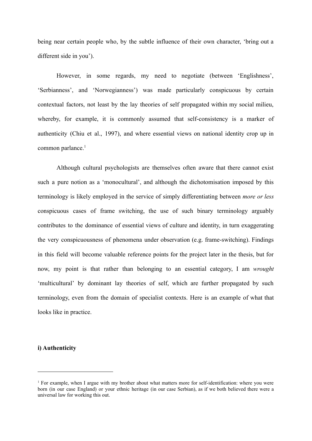being near certain people who, by the subtle influence of their own character, 'bring out a different side in you').

However, in some regards, my need to negotiate (between 'Englishness', 'Serbianness', and 'Norwegianness') was made particularly conspicuous by certain contextual factors, not least by the lay theories of self propagated within my social milieu, whereby, for example, it is commonly assumed that self-consistency is a marker of authenticity (Chiu et al., 1997), and where essential views on national identity crop up in common parlance.<sup>1</sup>

Although cultural psychologists are themselves often aware that there cannot exist such a pure notion as a 'monocultural', and although the dichotomisation imposed by this terminology is likely employed in the service of simply differentiating between *more or less* conspicuous cases of frame switching, the use of such binary terminology arguably contributes to the dominance of essential views of culture and identity, in turn exaggerating the very conspicuousness of phenomena under observation (e.g. frame-switching). Findings in this field will become valuable reference points for the project later in the thesis, but for now, my point is that rather than belonging to an essential category, I am *wrought* 'multicultural' by dominant lay theories of self, which are further propagated by such terminology, even from the domain of specialist contexts. Here is an example of what that looks like in practice.

#### **i) Authenticity**

<sup>&</sup>lt;sup>1</sup> For example, when I argue with my brother about what matters more for self-identification: where you were born (in our case England) or your ethnic heritage (in our case Serbian), as if we both believed there were a universal law for working this out.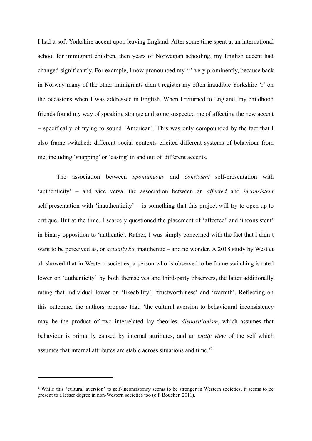I had a soft Yorkshire accent upon leaving England. After some time spent at an international school for immigrant children, then years of Norwegian schooling, my English accent had changed significantly. For example, I now pronounced my 'r' very prominently, because back in Norway many of the other immigrants didn't register my often inaudible Yorkshire 'r' on the occasions when I was addressed in English. When I returned to England, my childhood friends found my way of speaking strange and some suspected me of affecting the new accent – specifically of trying to sound 'American'. This was only compounded by the fact that I also frame-switched: different social contexts elicited different systems of behaviour from me, including 'snapping' or 'easing' in and out of different accents.

The association between *spontaneous* and *consistent* self-presentation with 'authenticity' – and vice versa, the association between an *affected* and *inconsistent* self-presentation with 'inauthenticity' – is something that this project will try to open up to critique. But at the time, I scarcely questioned the placement of 'affected' and 'inconsistent' in binary opposition to 'authentic'. Rather, I was simply concerned with the fact that I didn't want to be perceived as, or *actually be*, inauthentic – and no wonder. A 2018 study by West et al. showed that in Western societies, a person who is observed to be frame switching is rated lower on 'authenticity' by both themselves and third-party observers, the latter additionally rating that individual lower on 'likeability', 'trustworthiness' and 'warmth'. Reflecting on this outcome, the authors propose that, 'the cultural aversion to behavioural inconsistency may be the product of two interrelated lay theories: *dispositionism*, which assumes that behaviour is primarily caused by internal attributes, and an *entity view* of the self which assumes that internal attributes are stable across situations and time.'<sup>2</sup>

<sup>&</sup>lt;sup>2</sup> While this 'cultural aversion' to self-inconsistency seems to be stronger in Western societies, it seems to be present to a lesser degree in non-Western societies too (c.f. Boucher, 2011).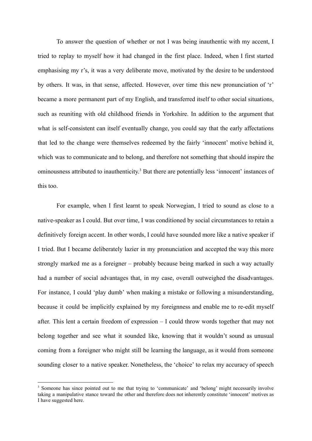To answer the question of whether or not I was being inauthentic with my accent, I tried to replay to myself how it had changed in the first place. Indeed, when I first started emphasising my r's, it was a very deliberate move, motivated by the desire to be understood by others. It was, in that sense, affected. However, over time this new pronunciation of 'r' became a more permanent part of my English, and transferred itself to other social situations, such as reuniting with old childhood friends in Yorkshire. In addition to the argument that what is self-consistent can itself eventually change, you could say that the early affectations that led to the change were themselves redeemed by the fairly 'innocent' motive behind it, which was to communicate and to belong, and therefore not something that should inspire the ominousness attributed to inauthenticity. <sup>3</sup> But there are potentially less 'innocent' instances of this too.

For example, when I first learnt to speak Norwegian, I tried to sound as close to a native-speaker as I could. But over time, I was conditioned by social circumstances to retain a definitively foreign accent. In other words, I could have sounded more like a native speaker if I tried. But I became deliberately lazier in my pronunciation and accepted the way this more strongly marked me as a foreigner – probably because being marked in such a way actually had a number of social advantages that, in my case, overall outweighed the disadvantages. For instance, I could 'play dumb' when making a mistake or following a misunderstanding, because it could be implicitly explained by my foreignness and enable me to re-edit myself after. This lent a certain freedom of expression – I could throw words together that may not belong together and see what it sounded like, knowing that it wouldn't sound as unusual coming from a foreigner who might still be learning the language, as it would from someone sounding closer to a native speaker. Nonetheless, the 'choice' to relax my accuracy of speech

<sup>&</sup>lt;sup>3</sup> Someone has since pointed out to me that trying to 'communicate' and 'belong' might necessarily involve taking a manipulative stance toward the other and therefore does not inherently constitute 'innocent' motives as I have suggested here.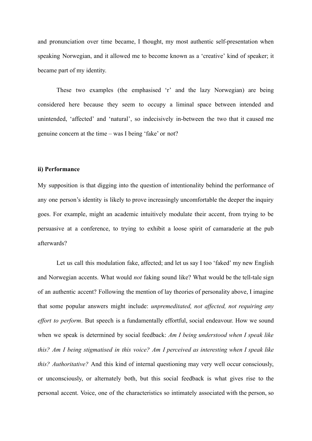and pronunciation over time became, I thought, my most authentic self-presentation when speaking Norwegian, and it allowed me to become known as a 'creative' kind of speaker; it became part of my identity.

These two examples (the emphasised 'r' and the lazy Norwegian) are being considered here because they seem to occupy a liminal space between intended and unintended, 'affected' and 'natural', so indecisively in-between the two that it caused me genuine concern at the time – was I being 'fake' or not?

#### **ii) Performance**

My supposition is that digging into the question of intentionality behind the performance of any one person's identity is likely to prove increasingly uncomfortable the deeper the inquiry goes. For example, might an academic intuitively modulate their accent, from trying to be persuasive at a conference, to trying to exhibit a loose spirit of camaraderie at the pub afterwards?

Let us call this modulation fake, affected; and let us say I too 'faked' my new English and Norwegian accents. What would *not* faking sound like? What would be the tell-tale sign of an authentic accent? Following the mention of lay theories of personality above, I imagine that some popular answers might include: *unpremeditated, not affected, not requiring any effort to perform*. But speech is a fundamentally effortful, social endeavour. How we sound when we speak is determined by social feedback: *Am I being understood when I speak like this? Am I being stigmatised in this voice? Am I perceived as interesting when I speak like this? Authoritative?* And this kind of internal questioning may very well occur consciously, or unconsciously, or alternately both, but this social feedback is what gives rise to the personal accent. Voice, one of the characteristics so intimately associated with the person, so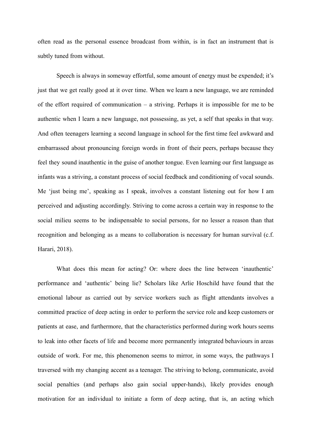often read as the personal essence broadcast from within, is in fact an instrument that is subtly tuned from without.

Speech is always in someway effortful, some amount of energy must be expended; it's just that we get really good at it over time. When we learn a new language, we are reminded of the effort required of communication – a striving. Perhaps it is impossible for me to be authentic when I learn a new language, not possessing, as yet, a self that speaks in that way. And often teenagers learning a second language in school for the first time feel awkward and embarrassed about pronouncing foreign words in front of their peers, perhaps because they feel they sound inauthentic in the guise of another tongue. Even learning our first language as infants was a striving, a constant process of social feedback and conditioning of vocal sounds. Me 'just being me', speaking as I speak, involves a constant listening out for how I am perceived and adjusting accordingly. Striving to come across a certain way in response to the social milieu seems to be indispensable to social persons, for no lesser a reason than that recognition and belonging as a means to collaboration is necessary for human survival (c.f. Harari, 2018).

What does this mean for acting? Or: where does the line between 'inauthentic' performance and 'authentic' being lie? Scholars like Arlie Hoschild have found that the emotional labour as carried out by service workers such as flight attendants involves a committed practice of deep acting in order to perform the service role and keep customers or patients at ease, and furthermore, that the characteristics performed during work hours seems to leak into other facets of life and become more permanently integrated behaviours in areas outside of work. For me, this phenomenon seems to mirror, in some ways, the pathways I traversed with my changing accent as a teenager. The striving to belong, communicate, avoid social penalties (and perhaps also gain social upper-hands), likely provides enough motivation for an individual to initiate a form of deep acting, that is, an acting which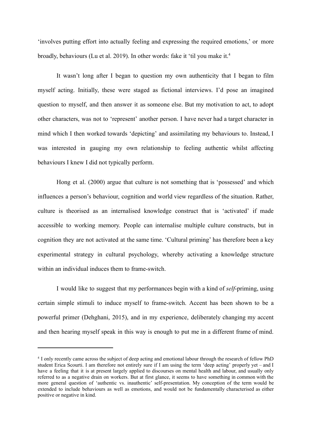'involves putting effort into actually feeling and expressing the required emotions,' or more broadly, behaviours (Lu et al. 2019). In other words: fake it 'til you make it.<sup>4</sup>

It wasn't long after I began to question my own authenticity that I began to film myself acting. Initially, these were staged as fictional interviews. I'd pose an imagined question to myself, and then answer it as someone else. But my motivation to act, to adopt other characters, was not to 'represent' another person. I have never had a target character in mind which I then worked towards 'depicting' and assimilating my behaviours to. Instead, I was interested in gauging my own relationship to feeling authentic whilst affecting behaviours I knew I did not typically perform.

Hong et al. (2000) argue that culture is not something that is 'possessed' and which influences a person's behaviour, cognition and world view regardless of the situation. Rather, culture is theorised as an internalised knowledge construct that is 'activated' if made accessible to working memory. People can internalise multiple culture constructs, but in cognition they are not activated at the same time. 'Cultural priming' has therefore been a key experimental strategy in cultural psychology, whereby activating a knowledge structure within an individual induces them to frame-switch.

I would like to suggest that my performances begin with a kind of *self*-priming, using certain simple stimuli to induce myself to frame-switch. Accent has been shown to be a powerful primer (Dehghani, 2015), and in my experience, deliberately changing my accent and then hearing myself speak in this way is enough to put me in a different frame of mind.

<sup>4</sup> I only recently came across the subject of deep acting and emotional labour through the research of fellow PhD student Erica Scourti. I am therefore not entirely sure if I am using the term 'deep acting' properly yet – and I have a feeling that it is at present largely applied to discourses on mental health and labour, and usually only referred to as a negative drain on workers. But at first glance, it seems to have something in common with the more general question of 'authentic vs. inauthentic' self-presentation. My conception of the term would be extended to include behaviours as well as emotions, and would not be fundamentally characterised as either positive or negative in kind.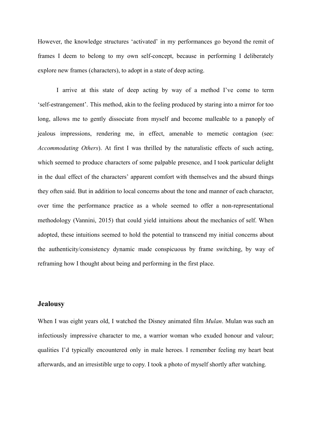However, the knowledge structures 'activated' in my performances go beyond the remit of frames I deem to belong to my own self-concept, because in performing I deliberately explore new frames (characters), to adopt in a state of deep acting.

I arrive at this state of deep acting by way of a method I've come to term 'self-estrangement'. This method, akin to the feeling produced by staring into a mirror for too long, allows me to gently dissociate from myself and become malleable to a panoply of jealous impressions, rendering me, in effect, amenable to memetic contagion (see: *Accommodating Others*). At first I was thrilled by the naturalistic effects of such acting, which seemed to produce characters of some palpable presence, and I took particular delight in the dual effect of the characters' apparent comfort with themselves and the absurd things they often said. But in addition to local concerns about the tone and manner of each character, over time the performance practice as a whole seemed to offer a non-representational methodology (Vannini, 2015) that could yield intuitions about the mechanics of self. When adopted, these intuitions seemed to hold the potential to transcend my initial concerns about the authenticity/consistency dynamic made conspicuous by frame switching, by way of reframing how I thought about being and performing in the first place.

### **Jealousy**

When I was eight years old, I watched the Disney animated film *Mulan*. Mulan was such an infectiously impressive character to me, a warrior woman who exuded honour and valour; qualities I'd typically encountered only in male heroes. I remember feeling my heart beat afterwards, and an irresistible urge to copy. I took a photo of myself shortly after watching.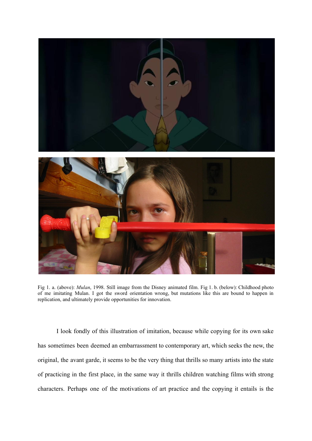

Fig 1. a. (above): *Mulan*, 1998. Still image from the Disney animated film. Fig 1. b. (below): Childhood photo of me imitating Mulan. I got the sword orientation wrong, but mutations like this are bound to happen in replication, and ultimately provide opportunities for innovation.

I look fondly of this illustration of imitation, because while copying for its own sake has sometimes been deemed an embarrassment to contemporary art, which seeks the new, the original, the avant garde, it seems to be the very thing that thrills so many artists into the state of practicing in the first place, in the same way it thrills children watching films with strong characters. Perhaps one of the motivations of art practice and the copying it entails is the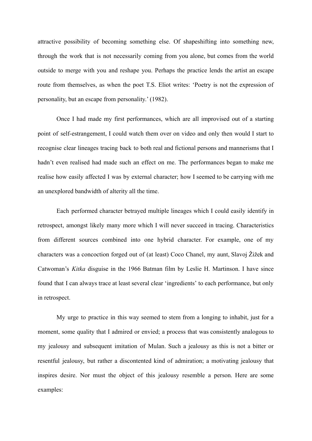attractive possibility of becoming something else. Of shapeshifting into something new, through the work that is not necessarily coming from you alone, but comes from the world outside to merge with you and reshape you. Perhaps the practice lends the artist an escape route from themselves, as when the poet T.S. Eliot writes: 'Poetry is not the expression of personality, but an escape from personality.' (1982).

Once I had made my first performances, which are all improvised out of a starting point of self-estrangement, I could watch them over on video and only then would I start to recognise clear lineages tracing back to both real and fictional persons and mannerisms that I hadn't even realised had made such an effect on me. The performances began to make me realise how easily affected I was by external character; how I seemed to be carrying with me an unexplored bandwidth of alterity all the time.

Each performed character betrayed multiple lineages which I could easily identify in retrospect, amongst likely many more which I will never succeed in tracing. Characteristics from different sources combined into one hybrid character. For example, one of my characters was a concoction forged out of (at least) Coco Chanel, my aunt, Slavoj Žižek and Catwoman's *Kitka* disguise in the 1966 Batman film by Leslie H. Martinson. I have since found that I can always trace at least several clear 'ingredients' to each performance, but only in retrospect.

My urge to practice in this way seemed to stem from a longing to inhabit, just for a moment, some quality that I admired or envied; a process that was consistently analogous to my jealousy and subsequent imitation of Mulan. Such a jealousy as this is not a bitter or resentful jealousy, but rather a discontented kind of admiration; a motivating jealousy that inspires desire. Nor must the object of this jealousy resemble a person. Here are some examples: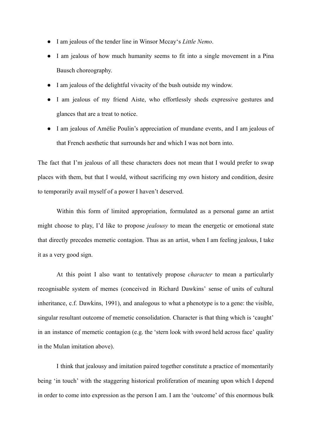- I am jealous of the tender line in Winsor Mccay's *Little Nemo*.
- I am jealous of how much humanity seems to fit into a single movement in a Pina Bausch choreography.
- I am jealous of the delightful vivacity of the bush outside my window.
- I am jealous of my friend Aiste, who effortlessly sheds expressive gestures and glances that are a treat to notice.
- I am jealous of Amélie Poulin's appreciation of mundane events, and I am jealous of that French aesthetic that surrounds her and which I was not born into.

The fact that I'm jealous of all these characters does not mean that I would prefer to swap places with them, but that I would, without sacrificing my own history and condition, desire to temporarily avail myself of a power I haven't deserved.

Within this form of limited appropriation, formulated as a personal game an artist might choose to play, I'd like to propose *jealousy* to mean the energetic or emotional state that directly precedes memetic contagion. Thus as an artist, when I am feeling jealous, I take it as a very good sign.

At this point I also want to tentatively propose *character* to mean a particularly recognisable system of memes (conceived in Richard Dawkins' sense of units of cultural inheritance, c.f. Dawkins, 1991), and analogous to what a phenotype is to a gene: the visible, singular resultant outcome of memetic consolidation. Character is that thing which is 'caught' in an instance of memetic contagion (e.g. the 'stern look with sword held across face' quality in the Mulan imitation above).

I think that jealousy and imitation paired together constitute a practice of momentarily being 'in touch' with the staggering historical proliferation of meaning upon which I depend in order to come into expression as the person I am. I am the 'outcome' of this enormous bulk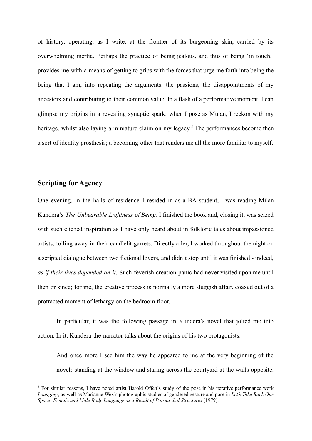of history, operating, as I write, at the frontier of its burgeoning skin, carried by its overwhelming inertia. Perhaps the practice of being jealous, and thus of being 'in touch,' provides me with a means of getting to grips with the forces that urge me forth into being the being that I am, into repeating the arguments, the passions, the disappointments of my ancestors and contributing to their common value. In a flash of a performative moment, I can glimpse my origins in a revealing synaptic spark: when I pose as Mulan, I reckon with my heritage, whilst also laying a miniature claim on my legacy.<sup>5</sup> The performances become then a sort of identity prosthesis; a becoming-other that renders me all the more familiar to myself.

# **Scripting for Agency**

One evening, in the halls of residence I resided in as a BA student, I was reading Milan Kundera's *The Unbearable Lightness of Being*. I finished the book and, closing it, was seized with such cliched inspiration as I have only heard about in folkloric tales about impassioned artists, toiling away in their candlelit garrets. Directly after, I worked throughout the night on a scripted dialogue between two fictional lovers, and didn't stop until it was finished - indeed, *as if their lives depended on it*. Such feverish creation-panic had never visited upon me until then or since; for me, the creative process is normally a more sluggish affair, coaxed out of a protracted moment of lethargy on the bedroom floor.

In particular, it was the following passage in Kundera's novel that jolted me into action. In it, Kundera-the-narrator talks about the origins of his two protagonists:

And once more I see him the way he appeared to me at the very beginning of the novel: standing at the window and staring across the courtyard at the walls opposite.

<sup>&</sup>lt;sup>5</sup> For similar reasons, I have noted artist Harold Offeh's study of the pose in his iterative performance work *Lounging*, as well as Marianne Wex's photographic studies of gendered gesture and pose in *Let's Take Back Our Space: Female and Male Body Language as a Result of Patriarchal Structures* (1979).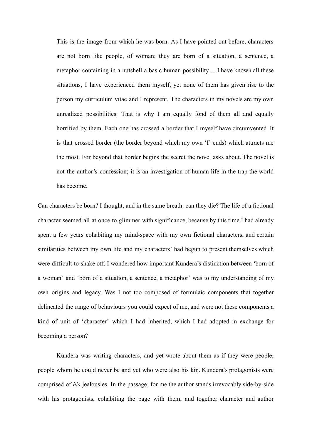This is the image from which he was born. As I have pointed out before, characters are not born like people, of woman; they are born of a situation, a sentence, a metaphor containing in a nutshell a basic human possibility ... I have known all these situations, I have experienced them myself, yet none of them has given rise to the person my curriculum vitae and I represent. The characters in my novels are my own unrealized possibilities. That is why I am equally fond of them all and equally horrified by them. Each one has crossed a border that I myself have circumvented. It is that crossed border (the border beyond which my own 'I' ends) which attracts me the most. For beyond that border begins the secret the novel asks about. The novel is not the author's confession; it is an investigation of human life in the trap the world has become.

Can characters be born? I thought, and in the same breath: can they die? The life of a fictional character seemed all at once to glimmer with significance, because by this time I had already spent a few years cohabiting my mind-space with my own fictional characters, and certain similarities between my own life and my characters' had begun to present themselves which were difficult to shake off. I wondered how important Kundera's distinction between 'born of a woman' and 'born of a situation, a sentence, a metaphor' was to my understanding of my own origins and legacy. Was I not too composed of formulaic components that together delineated the range of behaviours you could expect of me, and were not these components a kind of unit of 'character' which I had inherited, which I had adopted in exchange for becoming a person?

Kundera was writing characters, and yet wrote about them as if they were people; people whom he could never be and yet who were also his kin. Kundera's protagonists were comprised of *his* jealousies. In the passage, for me the author stands irrevocably side-by-side with his protagonists, cohabiting the page with them, and together character and author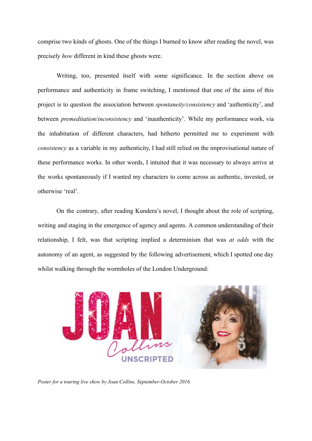comprise two kinds of ghosts. One of the things I burned to know after reading the novel, was precisely *how* different in kind these ghosts were.

Writing, too, presented itself with some significance. In the section above on performance and authenticity in frame switching, I mentioned that one of the aims of this project is to question the association between *spontaneity/consistency* and 'authenticity', and between *premeditation*/*inconsistency* and 'inauthenticity'. While my performance work, via the inhabitation of different characters, had hitherto permitted me to experiment with *consistency* as a variable in my authenticity, I had still relied on the improvisational nature of these performance works. In other words, I intuited that it was necessary to always arrive at the works spontaneously if I wanted my characters to come across as authentic, invested, or otherwise 'real'.

On the contrary, after reading Kundera's novel, I thought about the role of scripting, writing and staging in the emergence of agency and agents. A common understanding of their relationship, I felt, was that scripting implied a determinism that was *at odds* with the autonomy of an agent, as suggested by the following advertisement, which I spotted one day whilst walking through the wormholes of the London Underground:



*Poster for a touring live show by Joan Collins, September-October 2016.*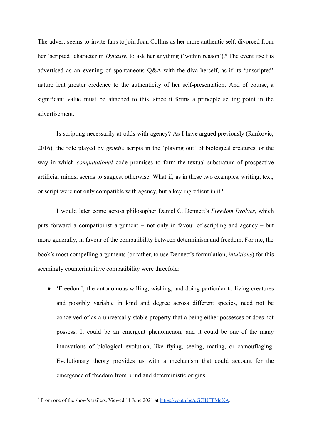The advert seems to invite fans to join Joan Collins as her more authentic self, divorced from her 'scripted' character in *Dynasty*, to ask her anything ('within reason').<sup>6</sup> The event itself is advertised as an evening of spontaneous Q&A with the diva herself, as if its 'unscripted' nature lent greater credence to the authenticity of her self-presentation. And of course, a significant value must be attached to this, since it forms a principle selling point in the advertisement.

Is scripting necessarily at odds with agency? As I have argued previously (Rankovic, 2016), the role played by *genetic* scripts in the 'playing out' of biological creatures, or the way in which *computational* code promises to form the textual substratum of prospective artificial minds, seems to suggest otherwise. What if, as in these two examples, writing, text, or script were not only compatible with agency, but a key ingredient in it?

I would later come across philosopher Daniel C. Dennett's *Freedom Evolves*, which puts forward a compatibilist argument – not only in favour of scripting and agency – but more generally, in favour of the compatibility between determinism and freedom. For me, the book's most compelling arguments (or rather, to use Dennett's formulation, *intuitions*) for this seemingly counterintuitive compatibility were threefold:

● 'Freedom', the autonomous willing, wishing, and doing particular to living creatures and possibly variable in kind and degree across different species, need not be conceived of as a universally stable property that a being either possesses or does not possess. It could be an emergent phenomenon, and it could be one of the many innovations of biological evolution, like flying, seeing, mating, or camouflaging. Evolutionary theory provides us with a mechanism that could account for the emergence of freedom from blind and deterministic origins.

<sup>6</sup> From one of the show's trailers. Viewed 11 June 2021 at [https://youtu.be/uG7IUTPMcXA.](https://youtu.be/uG7IUTPMcXA)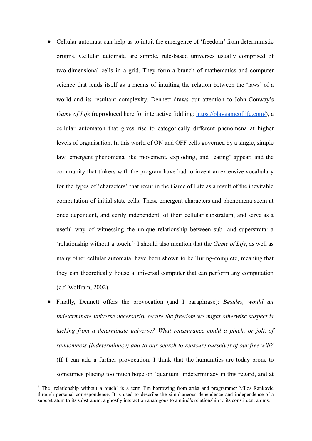- Cellular automata can help us to intuit the emergence of 'freedom' from deterministic origins. Cellular automata are simple, rule-based universes usually comprised of two-dimensional cells in a grid. They form a branch of mathematics and computer science that lends itself as a means of intuiting the relation between the 'laws' of a world and its resultant complexity. Dennett draws our attention to John Conway's *Game of Life* (reproduced here for interactive fiddling: [https://playgameoflife.com/\)](https://playgameoflife.com/), a cellular automaton that gives rise to categorically different phenomena at higher levels of organisation. In this world of ON and OFF cells governed by a single, simple law, emergent phenomena like movement, exploding, and 'eating' appear, and the community that tinkers with the program have had to invent an extensive vocabulary for the types of 'characters' that recur in the Game of Life as a result of the inevitable computation of initial state cells. These emergent characters and phenomena seem at once dependent, and eerily independent, of their cellular substratum, and serve as a useful way of witnessing the unique relationship between sub- and superstrata: a 'relationship without a touch.'<sup>7</sup> I should also mention that the *Game of Life*, as well as many other cellular automata, have been shown to be Turing-complete, meaning that they can theoretically house a universal computer that can perform any computation (c.f. Wolfram, 2002).
- Finally, Dennett offers the provocation (and I paraphrase): *Besides, would an indeterminate universe necessarily secure the freedom we might otherwise suspect is lacking from a determinate universe? What reassurance could a pinch, or jolt, of randomness (indeterminacy) add to our search to reassure ourselves of our free will?* (If I can add a further provocation, I think that the humanities are today prone to sometimes placing too much hope on 'quantum' indeterminacy in this regard, and at

<sup>&</sup>lt;sup>7</sup> The 'relationship without a touch' is a term I'm borrowing from artist and programmer Milos Rankovic through personal correspondence. It is used to describe the simultaneous dependence and independence of a superstratum to its substratum, a ghostly interaction analogous to a mind's relationship to its constituent atoms.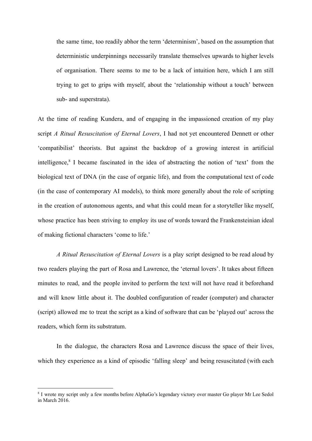the same time, too readily abhor the term 'determinism', based on the assumption that deterministic underpinnings necessarily translate themselves upwards to higher levels of organisation. There seems to me to be a lack of intuition here, which I am still trying to get to grips with myself, about the 'relationship without a touch' between sub- and superstrata).

At the time of reading Kundera, and of engaging in the impassioned creation of my play script *A Ritual Resuscitation of Eternal Lovers*, I had not yet encountered Dennett or other 'compatibilist' theorists. But against the backdrop of a growing interest in artificial intelligence, $8$  I became fascinated in the idea of abstracting the notion of 'text' from the biological text of DNA (in the case of organic life), and from the computational text of code (in the case of contemporary AI models), to think more generally about the role of scripting in the creation of autonomous agents, and what this could mean for a storyteller like myself, whose practice has been striving to employ its use of words toward the Frankensteinian ideal of making fictional characters 'come to life.'

*A Ritual Resuscitation of Eternal Lovers* is a play script designed to be read aloud by two readers playing the part of Rosa and Lawrence, the 'eternal lovers'. It takes about fifteen minutes to read, and the people invited to perform the text will not have read it beforehand and will know little about it. The doubled configuration of reader (computer) and character (script) allowed me to treat the script as a kind of software that can be 'played out' across the readers, which form its substratum.

In the dialogue, the characters Rosa and Lawrence discuss the space of their lives, which they experience as a kind of episodic 'falling sleep' and being resuscitated (with each

<sup>8</sup> I wrote my script only a few months before AlphaGo's legendary victory over master Go player Mr Lee Sedol in March 2016.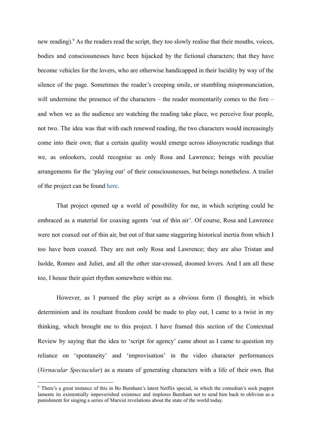new reading).<sup>9</sup> As the readers read the script, they too slowly realise that their mouths, voices, bodies and consciousnesses have been hijacked by the fictional characters; that they have become vehicles for the lovers, who are otherwise handicapped in their lucidity by way of the silence of the page. Sometimes the reader's creeping smile, or stumbling mispronunciation, will undermine the presence of the characters – the reader momentarily comes to the fore – and when we as the audience are watching the reading take place, we perceive four people, not two. The idea was that with each renewed reading, the two characters would increasingly come into their own; that a certain quality would emerge across idiosyncratic readings that we, as onlookers, could recognise as only Rosa and Lawrence; beings with peculiar arrangements for the 'playing out' of their consciousnesses, but beings nonetheless. A trailer of the project can be found [here.](http://rosa-and-lawrence.life/)

That project opened up a world of possibility for me, in which scripting could be embraced as a material for coaxing agents 'out of thin air'. Of course, Rosa and Lawrence were not coaxed out of thin air, but out of that same staggering historical inertia from which I too have been coaxed. They are not only Rosa and Lawrence; they are also Tristan and Isolde, Romeo and Juliet, and all the other star-crossed, doomed lovers. And I am all these too, I house their quiet rhythm somewhere within me.

However, as I pursued the play script as a obvious form (I thought), in which determinism and its resultant freedom could be made to play out, I came to a twist in my thinking, which brought me to this project. I have framed this section of the Contextual Review by saying that the idea to 'script for agency' came about as I came to question my reliance on 'spontaneity' and 'improvisation' in the video character performances (*Vernacular Spectacular*) as a means of generating characters with a life of their own. But

<sup>9</sup> There's a great instance of this in Bo Burnham's latest Netflix special, in which the comedian's sock puppet laments its existentially impoverished existence and implores Burnham not to send him back to oblivion as a punishment for singing a series of Marxist revelations about the state of the world today.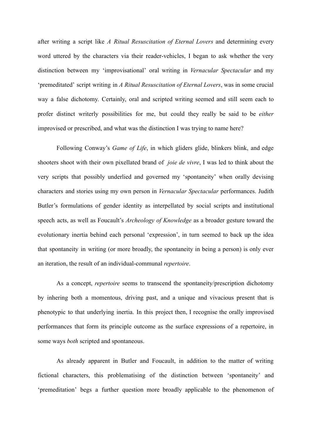after writing a script like *A Ritual Resuscitation of Eternal Lovers* and determining every word uttered by the characters via their reader-vehicles, I began to ask whether the very distinction between my 'improvisational' oral writing in *Vernacular Spectacular* and my 'premeditated' script writing in *A Ritual Resuscitation of Eternal Lovers*, was in some crucial way a false dichotomy. Certainly, oral and scripted writing seemed and still seem each to profer distinct writerly possibilities for me, but could they really be said to be *either* improvised or prescribed, and what was the distinction I was trying to name here?

Following Conway's *Game of Life*, in which gliders glide, blinkers blink, and edge shooters shoot with their own pixellated brand of *joie de vivre*, I was led to think about the very scripts that possibly underlied and governed my 'spontaneity' when orally devising characters and stories using my own person in *Vernacular Spectacular* performances. Judith Butler's formulations of gender identity as interpellated by social scripts and institutional speech acts, as well as Foucault's *Archeology of Knowledge* as a broader gesture toward the evolutionary inertia behind each personal 'expression', in turn seemed to back up the idea that spontaneity in writing (or more broadly, the spontaneity in being a person) is only ever an iteration, the result of an individual-communal *repertoire*.

As a concept, *repertoire* seems to transcend the spontaneity/prescription dichotomy by inhering both a momentous, driving past, and a unique and vivacious present that is phenotypic to that underlying inertia. In this project then, I recognise the orally improvised performances that form its principle outcome as the surface expressions of a repertoire, in some ways *both* scripted and spontaneous.

As already apparent in Butler and Foucault, in addition to the matter of writing fictional characters, this problematising of the distinction between 'spontaneity' and 'premeditation' begs a further question more broadly applicable to the phenomenon of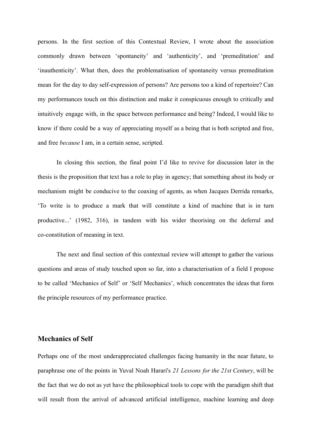persons. In the first section of this Contextual Review, I wrote about the association commonly drawn between 'spontaneity' and 'authenticity', and 'premeditation' and 'inauthenticity'. What then, does the problematisation of spontaneity versus premeditation mean for the day to day self-expression of persons? Are persons too a kind of repertoire? Can my performances touch on this distinction and make it conspicuous enough to critically and intuitively engage with, in the space between performance and being? Indeed, I would like to know if there could be a way of appreciating myself as a being that is both scripted and free, and free *because* I am, in a certain sense, scripted.

In closing this section, the final point I'd like to revive for discussion later in the thesis is the proposition that text has a role to play in agency; that something about its body or mechanism might be conducive to the coaxing of agents, as when Jacques Derrida remarks, 'To write is to produce a mark that will constitute a kind of machine that is in turn productive...' (1982, 316), in tandem with his wider theorising on the deferral and co-constitution of meaning in text.

The next and final section of this contextual review will attempt to gather the various questions and areas of study touched upon so far, into a characterisation of a field I propose to be called 'Mechanics of Self' or 'Self Mechanics', which concentrates the ideas that form the principle resources of my performance practice.

#### **Mechanics of Self**

Perhaps one of the most underappreciated challenges facing humanity in the near future, to paraphrase one of the points in Yuval Noah Harari's *21 Lessons for the 21st Century*, will be the fact that we do not as yet have the philosophical tools to cope with the paradigm shift that will result from the arrival of advanced artificial intelligence, machine learning and deep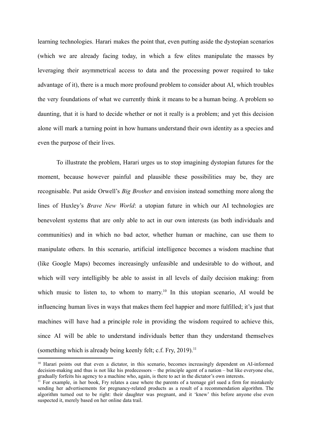learning technologies. Harari makes the point that, even putting aside the dystopian scenarios (which we are already facing today, in which a few elites manipulate the masses by leveraging their asymmetrical access to data and the processing power required to take advantage of it), there is a much more profound problem to consider about AI, which troubles the very foundations of what we currently think it means to be a human being. A problem so daunting, that it is hard to decide whether or not it really is a problem; and yet this decision alone will mark a turning point in how humans understand their own identity as a species and even the purpose of their lives.

To illustrate the problem, Harari urges us to stop imagining dystopian futures for the moment, because however painful and plausible these possibilities may be, they are recognisable. Put aside Orwell's *Big Brother* and envision instead something more along the lines of Huxley's *Brave New World*: a utopian future in which our AI technologies are benevolent systems that are only able to act in our own interests (as both individuals and communities) and in which no bad actor, whether human or machine, can use them to manipulate others. In this scenario, artificial intelligence becomes a wisdom machine that (like Google Maps) becomes increasingly unfeasible and undesirable to do without, and which will very intelligibly be able to assist in all levels of daily decision making: from which music to listen to, to whom to marry.<sup>10</sup> In this utopian scenario, AI would be influencing human lives in ways that makes them feel happier and more fulfilled; it's just that machines will have had a principle role in providing the wisdom required to achieve this, since AI will be able to understand individuals better than they understand themselves (something which is already being keenly felt; c.f. Fry, 2019).<sup>11</sup>

<sup>&</sup>lt;sup>10</sup> Harari points out that even a dictator, in this scenario, becomes increasingly dependent on AI-informed decision-making and thus is not like his predecessors – the principle agent of a nation – but like everyone else, gradually forfeits his agency to a machine who, again, is there to act in the dictator's own interests.

<sup>&</sup>lt;sup>11</sup> For example, in her book, Fry relates a case where the parents of a teenage girl sued a firm for mistakenly sending her advertisements for pregnancy-related products as a result of a recommendation algorithm. The algorithm turned out to be right: their daughter was pregnant, and it 'knew' this before anyone else even suspected it, merely based on her online data trail.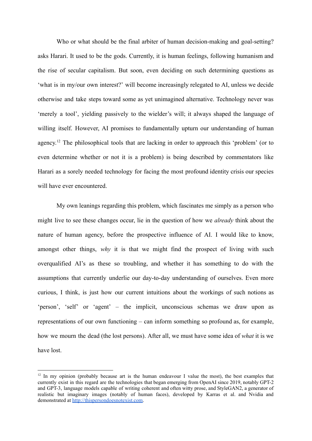Who or what should be the final arbiter of human decision-making and goal-setting? asks Harari. It used to be the gods. Currently, it is human feelings, following humanism and the rise of secular capitalism. But soon, even deciding on such determining questions as 'what is in my/our own interest?' will become increasingly relegated to AI, unless we decide otherwise and take steps toward some as yet unimagined alternative. Technology never was 'merely a tool', yielding passively to the wielder's will; it always shaped the language of willing itself. However, AI promises to fundamentally upturn our understanding of human agency.<sup>12</sup> The philosophical tools that are lacking in order to approach this 'problem' (or to even determine whether or not it is a problem) is being described by commentators like Harari as a sorely needed technology for facing the most profound identity crisis our species will have ever encountered.

My own leanings regarding this problem, which fascinates me simply as a person who might live to see these changes occur, lie in the question of how we *already* think about the nature of human agency, before the prospective influence of AI. I would like to know, amongst other things, *why* it is that we might find the prospect of living with such overqualified AI's as these so troubling, and whether it has something to do with the assumptions that currently underlie our day-to-day understanding of ourselves. Even more curious, I think, is just how our current intuitions about the workings of such notions as 'person', 'self' or 'agent' – the implicit, unconscious schemas we draw upon as representations of our own functioning – can inform something so profound as, for example, how we mourn the dead (the lost persons). After all, we must have some idea of *what* it is we have lost.

 $12$  In my opinion (probably because art is the human endeavour I value the most), the best examples that currently exist in this regard are the technologies that began emerging from OpenAI since 2019, notably GPT-2 and GPT-3, language models capable of writing coherent and often witty prose, and StyleGAN2, a generator of realistic but imaginary images (notably of human faces), developed by Karras et al. and Nvidia and demonstrated at [http://thispersondoesnotexist.com.](http://thispersondoesnotexist.com)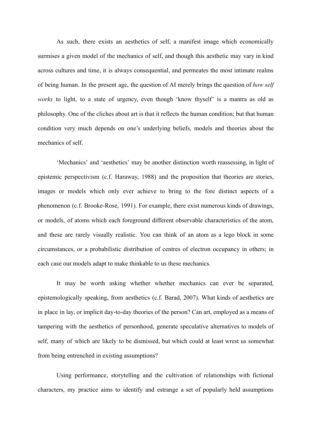As such, there exists an aesthetics of self, a manifest image which economically surmises a given model of the mechanics of self, and though this aesthetic may vary in kind across cultures and time, it is always consequential, and permeates the most intimate realms of being human. In the present age, the question of AI merely brings the question of *how self works* to light, to a state of urgency, even though 'know thyself' is a mantra as old as philosophy. One of the cliches about art is that it reflects the human condition; but that human condition very much depends on one's underlying beliefs, models and theories about the mechanics of self.

'Mechanics' and 'aesthetics' may be another distinction worth reassessing, in light of epistemic perspectivism (c.f. Haraway, 1988) and the proposition that theories are stories, images or models which only ever achieve to bring to the fore distinct aspects of a phenomenon (c.f. Brooke-Rose, 1991). For example, there exist numerous kinds of drawings, or models, of atoms which each foreground different observable characteristics of the atom, and these are rarely visually realistic. You can think of an atom as a lego block in some circumstances, or a probabilistic distribution of centres of electron occupancy in others; in each case our models adapt to make thinkable to us these mechanics.

It may be worth asking whether whether mechanics can ever be separated, epistemologically speaking, from aesthetics (c.f. Barad, 2007). What kinds of aesthetics are in place in lay, or implicit day-to-day theories of the person? Can art, employed as a means of tampering with the aesthetics of personhood, generate speculative alternatives to models of self, many of which are likely to be dismissed, but which could at least wrest us somewhat from being entrenched in existing assumptions?

Using performance, storytelling and the cultivation of relationships with fictional characters, my practice aims to identify and estrange a set of popularly held assumptions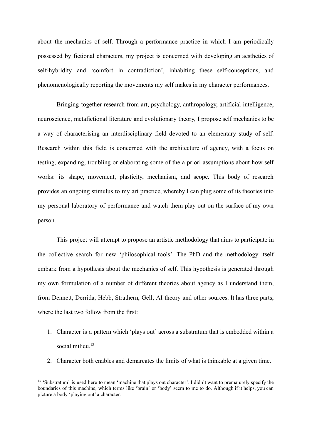about the mechanics of self. Through a performance practice in which I am periodically possessed by fictional characters, my project is concerned with developing an aesthetics of self-hybridity and 'comfort in contradiction', inhabiting these self-conceptions, and phenomenologically reporting the movements my self makes in my character performances.

Bringing together research from art, psychology, anthropology, artificial intelligence, neuroscience, metafictional literature and evolutionary theory, I propose self mechanics to be a way of characterising an interdisciplinary field devoted to an elementary study of self. Research within this field is concerned with the architecture of agency, with a focus on testing, expanding, troubling or elaborating some of the a priori assumptions about how self works: its shape, movement, plasticity, mechanism, and scope. This body of research provides an ongoing stimulus to my art practice, whereby I can plug some of its theories into my personal laboratory of performance and watch them play out on the surface of my own person.

This project will attempt to propose an artistic methodology that aims to participate in the collective search for new 'philosophical tools'. The PhD and the methodology itself embark from a hypothesis about the mechanics of self. This hypothesis is generated through my own formulation of a number of different theories about agency as I understand them, from Dennett, Derrida, Hebb, Strathern, Gell, AI theory and other sources. It has three parts, where the last two follow from the first:

- 1. Character is a pattern which 'plays out' across a substratum that is embedded within a social milieu.<sup>13</sup>
- 2. Character both enables and demarcates the limits of what is thinkable at a given time.

<sup>&</sup>lt;sup>13</sup> 'Substratum' is used here to mean 'machine that plays out character'. I didn't want to prematurely specify the boundaries of this machine, which terms like 'brain' or 'body' seem to me to do. Although if it helps, you can picture a body 'playing out' a character.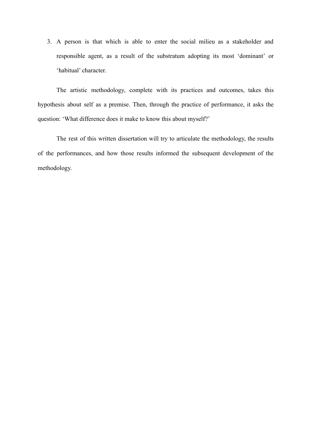3. A person is that which is able to enter the social milieu as a stakeholder and responsible agent, as a result of the substratum adopting its most 'dominant' or 'habitual' character.

The artistic methodology, complete with its practices and outcomes, takes this hypothesis about self as a premise. Then, through the practice of performance, it asks the question: 'What difference does it make to know this about myself?'

The rest of this written dissertation will try to articulate the methodology, the results of the performances, and how those results informed the subsequent development of the methodology.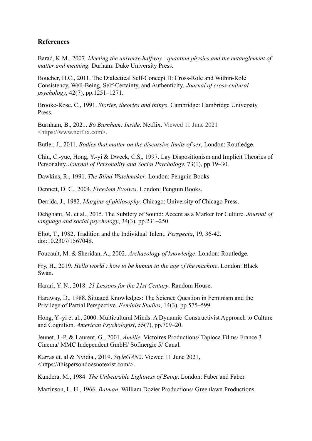# **References**

Barad, K.M., 2007. *Meeting the universe halfway : quantum physics and the entanglement of matter and meaning*. Durham: Duke University Press.

Boucher, H.C., 2011. The Dialectical Self-Concept II: Cross-Role and Within-Role Consistency, Well-Being, Self-Certainty, and Authenticity. *Journal of cross-cultural psychology*, 42(7), pp.1251–1271.

Brooke-Rose, C., 1991. *Stories, theories and things*. Cambridge: Cambridge University Press.

Burnham, B., 2021. *Bo Burnham: Inside*. Netflix. Viewed 11 June 2021 <https://www.netflix.com>.

Butler, J., 2011. *Bodies that matter on the discursive limits of sex*, London: Routledge.

Chiu, C.-yue, Hong, Y.-yi & Dweck, C.S., 1997. Lay Dispositionism and Implicit Theories of Personality. *Journal of Personality and Social Psychology*, 73(1), pp.19–30.

Dawkins, R., 1991. *The Blind Watchmaker*. London: Penguin Books

Dennett, D. C., 2004. *Freedom Evolves*. London: Penguin Books.

Derrida, J., 1982. *Margins of philosophy*. Chicago: University of Chicago Press.

Dehghani, M. et al., 2015. The Subtlety of Sound: Accent as a Marker for Culture. *Journal of language and social psychology*, 34(3), pp.231–250.

Eliot, T., 1982. Tradition and the Individual Talent. *Perspecta*, 19, 36-42. doi:10.2307/1567048.

Foucault, M. & Sheridan, A., 2002. *Archaeology of knowledge*. London: Routledge.

Fry, H., 2019. *Hello world : how to be human in the age of the machine*. London: Black Swan.

Harari, Y. N., 2018. *21 Lessons for the 21st Century*. Random House.

Haraway, D., 1988. Situated Knowledges: The Science Question in Feminism and the Privilege of Partial Perspective. *Feminist Studies*, 14(3), pp.575–599.

Hong, Y.-yi et al., 2000. Multicultural Minds: A Dynamic Constructivist Approach to Culture and Cognition. *American Psychologist*, 55(7), pp.709–20.

Jeunet, J.-P. & Laurent, G., 2001. *Amélie*. Victoires Productions/ Tapioca Films/ France 3 Cinema/ MMC Independent GmbH/ Sofinergie 5/ Canal.

Karras et. al & Nvidia., 2019. *StyleGAN2*. Viewed 11 June 2021, <https://thispersondoesnotexist.com/>.

Kundera, M., 1984. *The Unbearable Lightness of Being*. London: Faber and Faber.

Martinson, L. H., 1966. *Batman*. William Dozier Productions/ Greenlawn Productions.